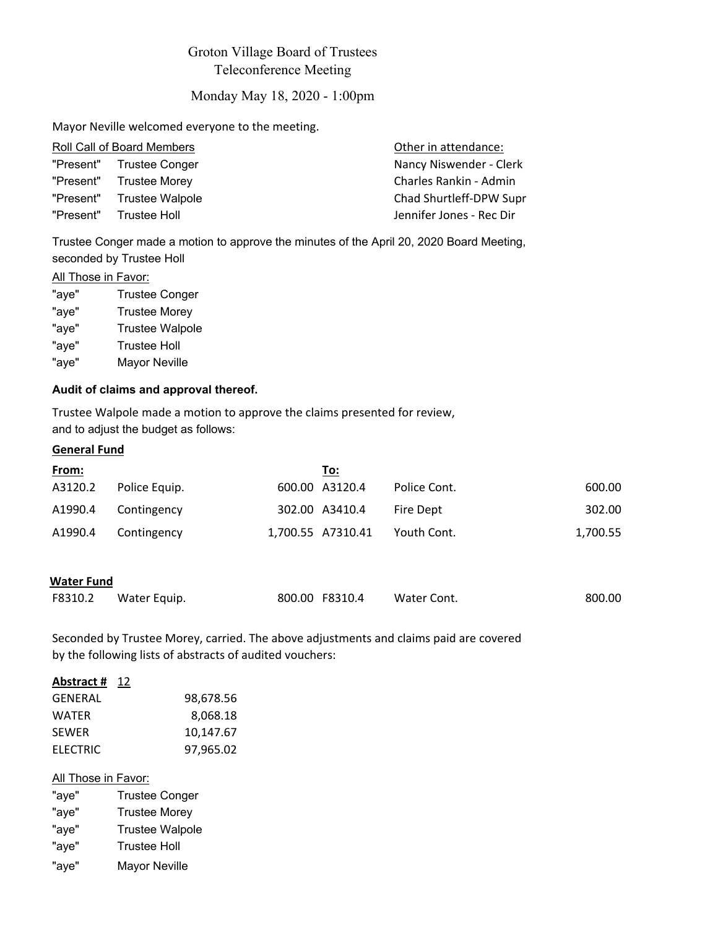# Groton Village Board of Trustees Teleconference Meeting

# Monday May 18, 2020 - 1:00pm

Mayor Neville welcomed everyone to the meeting.

| Other in attendance:                                                                                                                     |
|------------------------------------------------------------------------------------------------------------------------------------------|
| Nancy Niswender - Clerk                                                                                                                  |
| Charles Rankin - Admin                                                                                                                   |
| Chad Shurtleff-DPW Supr                                                                                                                  |
| Jennifer Jones - Rec Dir                                                                                                                 |
| Roll Call of Board Members<br>"Present" Trustee Conger<br>"Present" Trustee Morey<br>"Present" Trustee Walpole<br>"Present" Trustee Holl |

Trustee Conger made a motion to approve the minutes of the April 20, 2020 Board Meeting, seconded by Trustee Holl

# **All Those in Favor:**

| <b>Trustee Conger</b>  |
|------------------------|
| <b>Trustee Morey</b>   |
| <b>Trustee Walpole</b> |
| <b>Trustee Holl</b>    |
| <b>Mayor Neville</b>   |
|                        |

## **Audit of claims and approval thereof.**

Trustee Walpole made a motion to approve the claims presented for review, and to adjust the budget as follows:

## **General Fund**

| <u>From:</u> |               | To:               |              |          |
|--------------|---------------|-------------------|--------------|----------|
| A3120.2      | Police Equip. | 600.00 A3120.4    | Police Cont. | 600.00   |
| A1990.4      | Contingency   | 302.00 A3410.4    | Fire Dept    | 302.00   |
| A1990.4      | Contingency   | 1,700.55 A7310.41 | Youth Cont.  | 1,700.55 |

### **Water Fund**

| F8310.2 | Water Equip. | 800.00 F8310.4 | Water Cont. | 800.00 |
|---------|--------------|----------------|-------------|--------|
|         |              |                |             |        |

Seconded by Trustee Morey, carried. The above adjustments and claims paid are covered by the following lists of abstracts of audited vouchers:

## **Abstract #** 12

| 98,678.56 |
|-----------|
| 8.068.18  |
| 10,147.67 |
| 97,965.02 |
|           |

# All Those in Favor:

| "aye" | <b>Trustee Conger</b>  |
|-------|------------------------|
| "aye" | <b>Trustee Morey</b>   |
| "aye" | <b>Trustee Walpole</b> |
| "aye" | <b>Trustee Holl</b>    |
| "aye" | <b>Mayor Neville</b>   |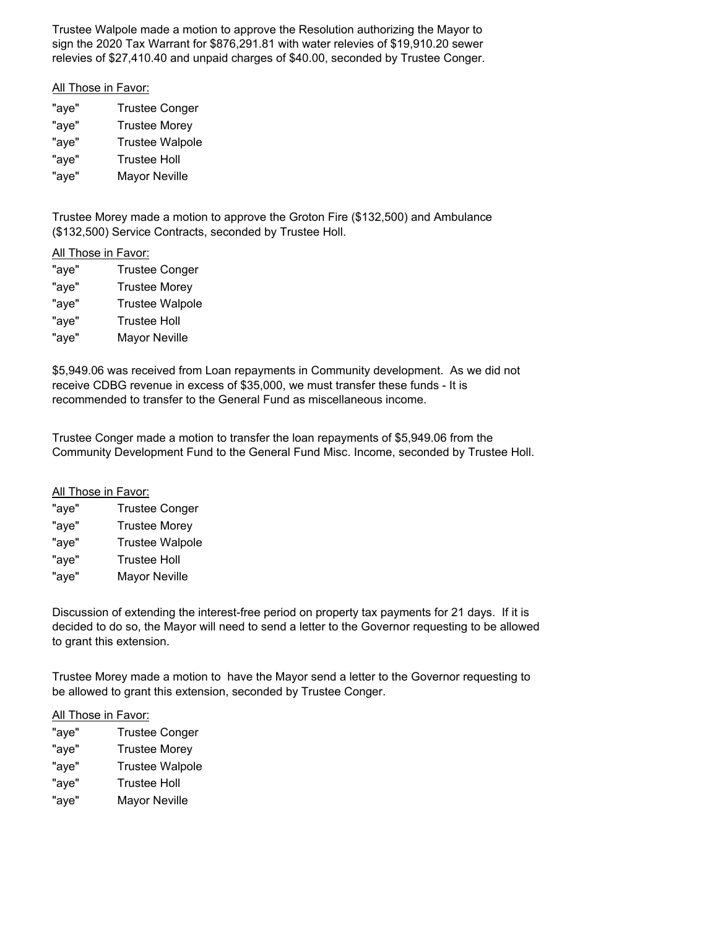Trustee Walpole made a motion to approve the Resolution authorizing the Mayor to sign the 2020 Tax Warrant for \$876,291.81 with water relevies of \$19,910.20 sewer relevies of \$27,410.40 and unpaid charges of \$40.00, seconded by Trustee Conger.

#### All Those in Favor:

| "aye" | <b>Trustee Conger</b>  |
|-------|------------------------|
| "aye" | <b>Trustee Morey</b>   |
| "aye" | <b>Trustee Walpole</b> |
| "aye" | <b>Trustee Holl</b>    |
| "aye" | <b>Mayor Neville</b>   |

Trustee Morey made a motion to approve the Groton Fire (\$132,500) and Ambulance (\$132,500) Service Contracts, seconded by Trustee Holl.

## All Those in Favor:

| "aye" | <b>Trustee Conger</b>  |
|-------|------------------------|
| "aye" | <b>Trustee Morey</b>   |
| "aye" | <b>Trustee Walpole</b> |
| "aye" | <b>Trustee Holl</b>    |
| "aye" | Mayor Neville          |
|       |                        |

\$5,949.06 was received from Loan repayments in Community development. As we did not receive CDBG revenue in excess of \$35,000, we must transfer these funds - It is recommended to transfer to the General Fund as miscellaneous income.

Trustee Conger made a motion to transfer the loan repayments of \$5,949.06 from the Community Development Fund to the General Fund Misc. Income, seconded by Trustee Holl.

#### All Those in Favor:

| "aye" | <b>Trustee Conger</b>  |
|-------|------------------------|
| "aye" | <b>Trustee Morey</b>   |
| "aye" | <b>Trustee Walpole</b> |
| "aye" | <b>Trustee Holl</b>    |
| "aye" | <b>Mayor Neville</b>   |

Discussion of extending the interest-free period on property tax payments for 21 days. If it is decided to do so, the Mayor will need to send a letter to the Governor requesting to be allowed to grant this extension.

Trustee Morey made a motion to have the Mayor send a letter to the Governor requesting to be allowed to grant this extension, seconded by Trustee Conger.

### All Those in Favor:

"aye" Trustee Conger "aye" Trustee Morey "aye" Trustee Walpole "aye" Trustee Holl "aye" Mayor Neville